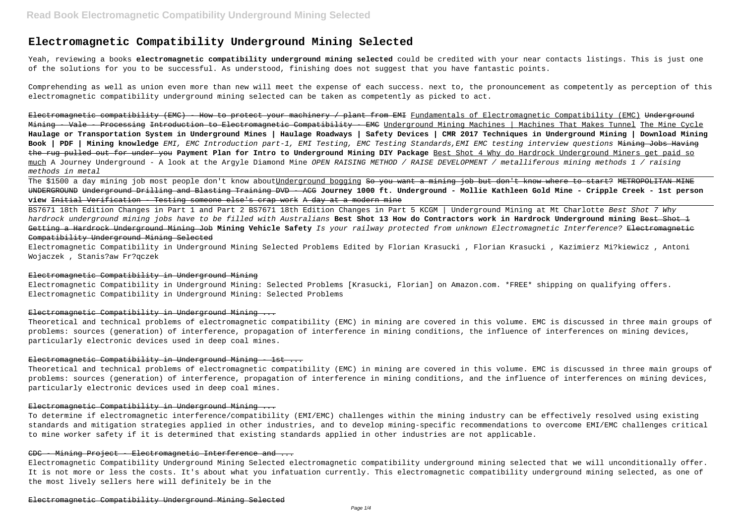# **Electromagnetic Compatibility Underground Mining Selected**

Yeah, reviewing a books **electromagnetic compatibility underground mining selected** could be credited with your near contacts listings. This is just one of the solutions for you to be successful. As understood, finishing does not suggest that you have fantastic points.

Comprehending as well as union even more than new will meet the expense of each success. next to, the pronouncement as competently as perception of this electromagnetic compatibility underground mining selected can be taken as competently as picked to act.

Electromagnetic compatibility (EMC) - How to protect your machinery / plant from EMI Fundamentals of Electromagnetic Compatibility (EMC) Underground Mining - Vale - Processing Introduction to Electromagnetic Compatibility - EMC Underground Mining Machines | Machines That Makes Tunnel The Mine Cycle **Haulage or Transportation System in Underground Mines | Haulage Roadways | Safety Devices | CMR 2017 Techniques in Underground Mining | Download Mining Book | PDF | Mining knowledge** EMI, EMC Introduction part-1, EMI Testing, EMC Testing Standards,EMI EMC testing interview questions Mining Jobs Having the rug pulled out for under you **Payment Plan for Intro to Underground Mining DIY Package** Best Shot 4 Why do Hardrock Underground Miners get paid so much A Journey Underground - A look at the Argyle Diamond Mine OPEN RAISING METHOD / RAISE DEVELOPMENT / metalliferous mining methods 1 / raising methods in metal

The \$1500 a day mining job most people don't know aboutUnderground bogging <del>So you want a mining job but don't know where to start? METROPOLITAN MINE</del> UNDERGROUND Underground Drilling and Blasting Training DVD - ACG **Journey 1000 ft. Underground - Mollie Kathleen Gold Mine - Cripple Creek - 1st person view** Initial Verification - Testing someone else's crap work A day at a modern mine

BS7671 18th Edition Changes in Part 1 and Part 2 BS7671 18th Edition Changes in Part 5 KCGM | Underground Mining at Mt Charlotte Best Shot 7 Why hardrock underground mining jobs have to be filled with Australians **Best Shot 13 How do Contractors work in Hardrock Underground mining** Best Shot 1 Getting a Hardrock Underground Mining Job **Mining Vehicle Safety** Is your railway protected from unknown Electromagnetic Interference? Electromagnetic Compatibility Underground Mining Selected

Electromagnetic Compatibility in Underground Mining Selected Problems Edited by Florian Krasucki , Florian Krasucki , Kazimierz Mi?kiewicz , Antoni Wojaczek , Stanis?aw Fr?qczek

#### Electromagnetic Compatibility in Underground Mining

Electromagnetic Compatibility in Underground Mining: Selected Problems [Krasucki, Florian] on Amazon.com. \*FREE\* shipping on qualifying offers. Electromagnetic Compatibility in Underground Mining: Selected Problems

# Electromagnetic Compatibility in Underground Mining ...

Theoretical and technical problems of electromagnetic compatibility (EMC) in mining are covered in this volume. EMC is discussed in three main groups of problems: sources (generation) of interference, propagation of interference in mining conditions, the influence of interferences on mining devices, particularly electronic devices used in deep coal mines.

## Electromagnetic Compatibility in Underground Mining - 1st ...

Theoretical and technical problems of electromagnetic compatibility (EMC) in mining are covered in this volume. EMC is discussed in three main groups of problems: sources (generation) of interference, propagation of interference in mining conditions, and the influence of interferences on mining devices, particularly electronic devices used in deep coal mines.

# Electromagnetic Compatibility in Underground Mining ...

To determine if electromagnetic interference/compatibility (EMI/EMC) challenges within the mining industry can be effectively resolved using existing standards and mitigation strategies applied in other industries, and to develop mining-specific recommendations to overcome EMI/EMC challenges critical to mine worker safety if it is determined that existing standards applied in other industries are not applicable.

# CDC - Mining Project - Electromagnetic Interference and ...

Electromagnetic Compatibility Underground Mining Selected electromagnetic compatibility underground mining selected that we will unconditionally offer. It is not more or less the costs. It's about what you infatuation currently. This electromagnetic compatibility underground mining selected, as one of the most lively sellers here will definitely be in the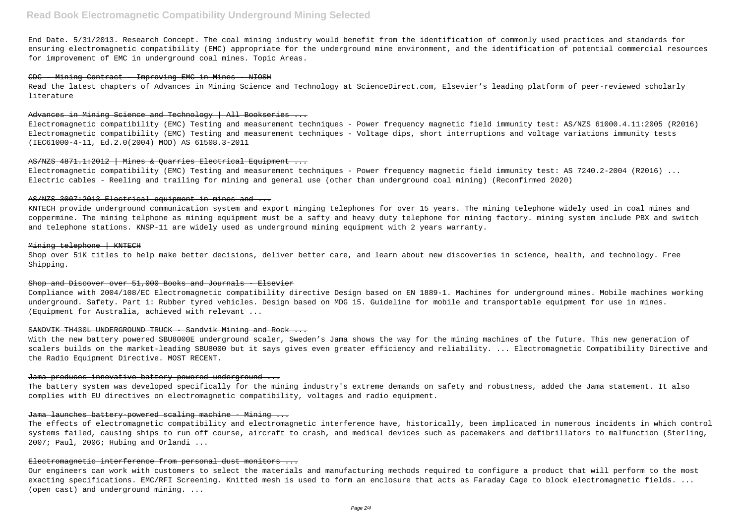End Date. 5/31/2013. Research Concept. The coal mining industry would benefit from the identification of commonly used practices and standards for ensuring electromagnetic compatibility (EMC) appropriate for the underground mine environment, and the identification of potential commercial resources for improvement of EMC in underground coal mines. Topic Areas.

#### CDC - Mining Contract - Improving EMC in Mines - NIOSH

Read the latest chapters of Advances in Mining Science and Technology at ScienceDirect.com, Elsevier's leading platform of peer-reviewed scholarly literature

# Advances in Mining Science and Technology | All Bookseries ...

Electromagnetic compatibility (EMC) Testing and measurement techniques - Power frequency magnetic field immunity test: AS/NZS 61000.4.11:2005 (R2016) Electromagnetic compatibility (EMC) Testing and measurement techniques - Voltage dips, short interruptions and voltage variations immunity tests (IEC61000-4-11, Ed.2.0(2004) MOD) AS 61508.3-2011

# AS/NZS 4871.1:2012 | Mines & Ouarries Electrical Equipment ...

Electromagnetic compatibility (EMC) Testing and measurement techniques - Power frequency magnetic field immunity test: AS 7240.2-2004 (R2016) ... Electric cables - Reeling and trailing for mining and general use (other than underground coal mining) (Reconfirmed 2020)

#### AS/NZS 3007:2013 Electrical equipment in mines and ...

KNTECH provide underground communication system and export minging telephones for over 15 years. The mining telephone widely used in coal mines and coppermine. The mining telphone as mining equipment must be a safty and heavy duty telephone for mining factory. mining system include PBX and switch and telephone stations. KNSP-11 are widely used as underground mining equipment with 2 years warranty.

## Mining telephone | KNTECH

Shop over 51K titles to help make better decisions, deliver better care, and learn about new discoveries in science, health, and technology. Free Shipping.

# Shop and Discover over 51,000 Books and Journals - Elsevier

Compliance with 2004/108/EC Electromagnetic compatibility directive Design based on EN 1889-1. Machines for underground mines. Mobile machines working underground. Safety. Part 1: Rubber tyred vehicles. Design based on MDG 15. Guideline for mobile and transportable equipment for use in mines. (Equipment for Australia, achieved with relevant ...

# SANDVIK TH430L UNDERGROUND TRUCK - Sandvik Mining and Rock ...

With the new battery powered SBU8000E underground scaler, Sweden's Jama shows the way for the mining machines of the future. This new generation of scalers builds on the market-leading SBU8000 but it says gives even greater efficiency and reliability. ... Electromagnetic Compatibility Directive and the Radio Equipment Directive. MOST RECENT.

#### Jama produces innovative battery-powered underground ...

The battery system was developed specifically for the mining industry's extreme demands on safety and robustness, added the Jama statement. It also complies with EU directives on electromagnetic compatibility, voltages and radio equipment.

# Jama launches battery powered scaling machine - Mining ...

The effects of electromagnetic compatibility and electromagnetic interference have, historically, been implicated in numerous incidents in which control systems failed, causing ships to run off course, aircraft to crash, and medical devices such as pacemakers and defibrillators to malfunction (Sterling, 2007; Paul, 2006; Hubing and Orlandi ...

#### Electromagnetic interference from personal dust monitors ...

Our engineers can work with customers to select the materials and manufacturing methods required to configure a product that will perform to the most exacting specifications. EMC/RFI Screening. Knitted mesh is used to form an enclosure that acts as Faraday Cage to block electromagnetic fields. ... (open cast) and underground mining. ...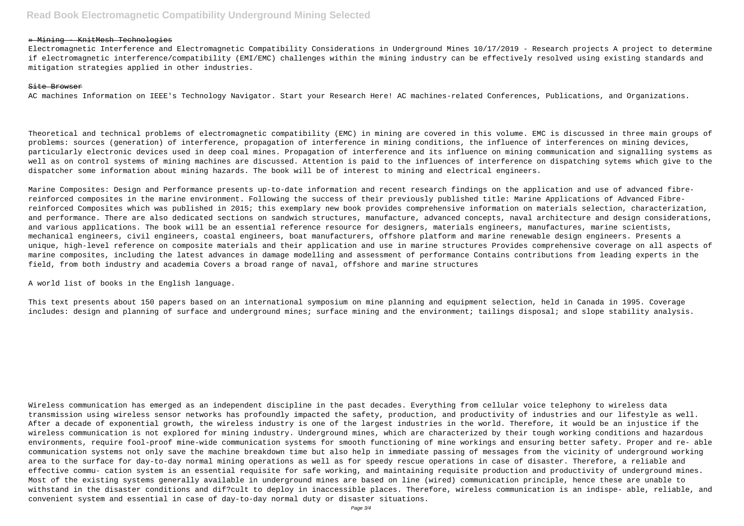## » Mining - KnitMesh Technologies

Electromagnetic Interference and Electromagnetic Compatibility Considerations in Underground Mines 10/17/2019 - Research projects A project to determine if electromagnetic interference/compatibility (EMI/EMC) challenges within the mining industry can be effectively resolved using existing standards and mitigation strategies applied in other industries.

# Site Browser

AC machines Information on IEEE's Technology Navigator. Start your Research Here! AC machines-related Conferences, Publications, and Organizations.

Theoretical and technical problems of electromagnetic compatibility (EMC) in mining are covered in this volume. EMC is discussed in three main groups of problems: sources (generation) of interference, propagation of interference in mining conditions, the influence of interferences on mining devices, particularly electronic devices used in deep coal mines. Propagation of interference and its influence on mining communication and signalling systems as well as on control systems of mining machines are discussed. Attention is paid to the influences of interference on dispatching sytems which give to the dispatcher some information about mining hazards. The book will be of interest to mining and electrical engineers.

Marine Composites: Design and Performance presents up-to-date information and recent research findings on the application and use of advanced fibrereinforced composites in the marine environment. Following the success of their previously published title: Marine Applications of Advanced Fibrereinforced Composites which was published in 2015; this exemplary new book provides comprehensive information on materials selection, characterization, and performance. There are also dedicated sections on sandwich structures, manufacture, advanced concepts, naval architecture and design considerations, and various applications. The book will be an essential reference resource for designers, materials engineers, manufactures, marine scientists, mechanical engineers, civil engineers, coastal engineers, boat manufacturers, offshore platform and marine renewable design engineers. Presents a unique, high-level reference on composite materials and their application and use in marine structures Provides comprehensive coverage on all aspects of marine composites, including the latest advances in damage modelling and assessment of performance Contains contributions from leading experts in the field, from both industry and academia Covers a broad range of naval, offshore and marine structures

A world list of books in the English language.

This text presents about 150 papers based on an international symposium on mine planning and equipment selection, held in Canada in 1995. Coverage includes: design and planning of surface and underground mines; surface mining and the environment; tailings disposal; and slope stability analysis.

Wireless communication has emerged as an independent discipline in the past decades. Everything from cellular voice telephony to wireless data transmission using wireless sensor networks has profoundly impacted the safety, production, and productivity of industries and our lifestyle as well. After a decade of exponential growth, the wireless industry is one of the largest industries in the world. Therefore, it would be an injustice if the wireless communication is not explored for mining industry. Underground mines, which are characterized by their tough working conditions and hazardous environments, require fool-proof mine-wide communication systems for smooth functioning of mine workings and ensuring better safety. Proper and re- able communication systems not only save the machine breakdown time but also help in immediate passing of messages from the vicinity of underground working area to the surface for day-to-day normal mining operations as well as for speedy rescue operations in case of disaster. Therefore, a reliable and effective commu- cation system is an essential requisite for safe working, and maintaining requisite production and productivity of underground mines. Most of the existing systems generally available in underground mines are based on line (wired) communication principle, hence these are unable to withstand in the disaster conditions and dif?cult to deploy in inaccessible places. Therefore, wireless communication is an indispe- able, reliable, and convenient system and essential in case of day-to-day normal duty or disaster situations.